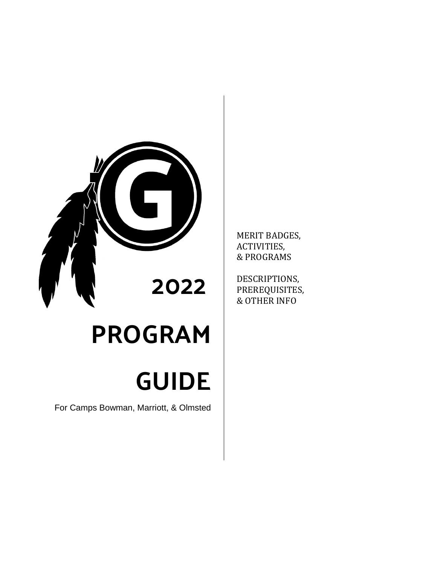

# PROGRAM

# GUIDE

For Camps Bowman, Marriott, & Olmsted

MERIT BADGES, ACTIVITIES, & PROGRAMS

DESCRIPTIONS, PREREQUISITES, & OTHER INFO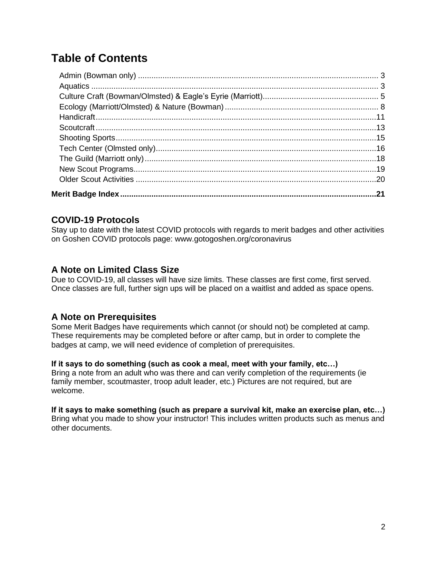# **Table of Contents**

# **COVID-19 Protocols**

Stay up to date with the latest COVID protocols with regards to merit badges and other activities on Goshen COVID protocols page: www.gotogoshen.org/coronavirus

## **A Note on Limited Class Size**

Due to COVID-19, all classes will have size limits. These classes are first come, first served. Once classes are full, further sign ups will be placed on a waitlist and added as space opens.

## **A Note on Prerequisites**

Some Merit Badges have requirements which cannot (or should not) be completed at camp. These requirements may be completed before or after camp, but in order to complete the badges at camp, we will need evidence of completion of prerequisites.

#### **If it says to do something (such as cook a meal, meet with your family, etc…)**

Bring a note from an adult who was there and can verify completion of the requirements (ie family member, scoutmaster, troop adult leader, etc.) Pictures are not required, but are welcome.

#### <span id="page-1-0"></span>**If it says to make something (such as prepare a survival kit, make an exercise plan, etc…)** Bring what you made to show your instructor! This includes written products such as menus and other documents.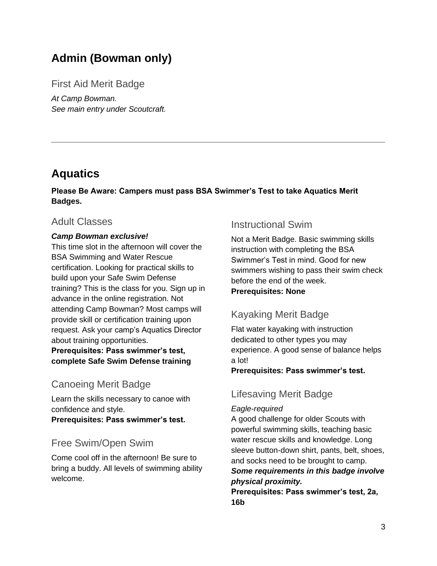# **Admin (Bowman only)**

First Aid Merit Badge

*At Camp Bowman. See main entry under Scoutcraft.*

# <span id="page-2-0"></span>**Aquatics**

**Please Be Aware: Campers must pass BSA Swimmer's Test to take Aquatics Merit Badges.**

# Adult Classes

#### *Camp Bowman exclusive!*

This time slot in the afternoon will cover the BSA Swimming and Water Rescue certification. Looking for practical skills to build upon your Safe Swim Defense training? This is the class for you. Sign up in advance in the online registration. Not attending Camp Bowman? Most camps will provide skill or certification training upon request. Ask your camp's Aquatics Director about training opportunities.

**Prerequisites: Pass swimmer's test, complete Safe Swim Defense training**

# Canoeing Merit Badge

Learn the skills necessary to canoe with confidence and style.

**Prerequisites: Pass swimmer's test.**

# Free Swim/Open Swim

Come cool off in the afternoon! Be sure to bring a buddy. All levels of swimming ability welcome.

# Instructional Swim

Not a Merit Badge. Basic swimming skills instruction with completing the BSA Swimmer's Test in mind. Good for new swimmers wishing to pass their swim check before the end of the week. **Prerequisites: None**

# Kayaking Merit Badge

Flat water kayaking with instruction dedicated to other types you may experience. A good sense of balance helps a lot!

#### **Prerequisites: Pass swimmer's test.**

# Lifesaving Merit Badge

#### *Eagle-required*

A good challenge for older Scouts with powerful swimming skills, teaching basic water rescue skills and knowledge. Long sleeve button-down shirt, pants, belt, shoes, and socks need to be brought to camp. *Some requirements in this badge involve physical proximity.*

**Prerequisites: Pass swimmer's test, 2a, 16b**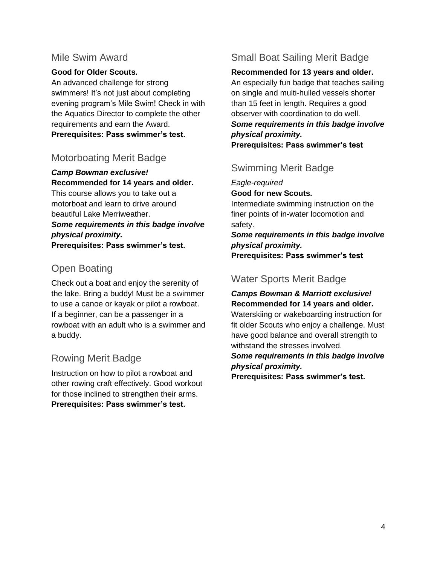# Mile Swim Award

#### **Good for Older Scouts.**

An advanced challenge for strong swimmers! It's not just about completing evening program's Mile Swim! Check in with the Aquatics Director to complete the other requirements and earn the Award. **Prerequisites: Pass swimmer's test.**

# Motorboating Merit Badge

#### *Camp Bowman exclusive!* **Recommended for 14 years and older.**

This course allows you to take out a motorboat and learn to drive around beautiful Lake Merriweather. *Some requirements in this badge involve physical proximity.* **Prerequisites: Pass swimmer's test.**

# Open Boating

Check out a boat and enjoy the serenity of the lake. Bring a buddy! Must be a swimmer to use a canoe or kayak or pilot a rowboat. If a beginner, can be a passenger in a rowboat with an adult who is a swimmer and a buddy.

# Rowing Merit Badge

Instruction on how to pilot a rowboat and other rowing craft effectively. Good workout for those inclined to strengthen their arms. **Prerequisites: Pass swimmer's test.**

# Small Boat Sailing Merit Badge

**Recommended for 13 years and older.**

An especially fun badge that teaches sailing on single and multi-hulled vessels shorter than 15 feet in length. Requires a good observer with coordination to do well. *Some requirements in this badge involve physical proximity.* **Prerequisites: Pass swimmer's test**

# Swimming Merit Badge

*Eagle-required*

**Good for new Scouts.**

Intermediate swimming instruction on the finer points of in-water locomotion and safety.

*Some requirements in this badge involve physical proximity.* **Prerequisites: Pass swimmer's test**

# Water Sports Merit Badge

*Camps Bowman & Marriott exclusive!* **Recommended for 14 years and older.**

Waterskiing or wakeboarding instruction for fit older Scouts who enjoy a challenge. Must have good balance and overall strength to withstand the stresses involved.

*Some requirements in this badge involve physical proximity.*

**Prerequisites: Pass swimmer's test.**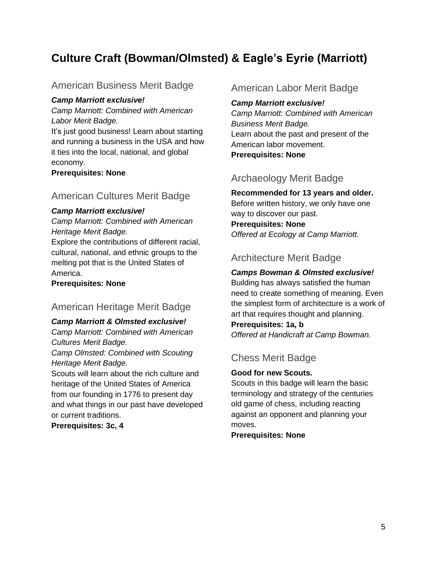# <span id="page-4-0"></span>**Culture Craft (Bowman/Olmsted) & Eagle's Eyrie (Marriott)**

# American Business Merit Badge

#### *Camp Marriott exclusive!*

*Camp Marriott: Combined with American Labor Merit Badge.*

It's just good business! Learn about starting and running a business in the USA and how it ties into the local, national, and global economy.

#### **Prerequisites: None**

## American Cultures Merit Badge

#### *Camp Marriott exclusive!*

*Camp Marriott: Combined with American Heritage Merit Badge.*

Explore the contributions of different racial, cultural, national, and ethnic groups to the melting pot that is the United States of America.

**Prerequisites: None**

# American Heritage Merit Badge

#### *Camp Marriott & Olmsted exclusive!*

*Camp Marriott: Combined with American Cultures Merit Badge.*

*Camp Olmsted: Combined with Scouting Heritage Merit Badge.*

Scouts will learn about the rich culture and heritage of the United States of America from our founding in 1776 to present day and what things in our past have developed or current traditions.

**Prerequisites: 3c, 4**

## American Labor Merit Badge

#### *Camp Marriott exclusive!*

*Camp Marriott: Combined with American Business Merit Badge.* Learn about the past and present of the American labor movement. **Prerequisites: None**

# Archaeology Merit Badge

#### **Recommended for 13 years and older.**

Before written history, we only have one way to discover our past. **Prerequisites: None** *Offered at Ecology at Camp Marriott.*

# Architecture Merit Badge

#### *Camps Bowman & Olmsted exclusive!*

Building has always satisfied the human need to create something of meaning. Even the simplest form of architecture is a work of art that requires thought and planning.

**Prerequisites: 1a, b**

*Offered at Handicraft at Camp Bowman.*

# Chess Merit Badge

#### **Good for new Scouts.**

Scouts in this badge will learn the basic terminology and strategy of the centuries old game of chess, including reacting against an opponent and planning your moves.

**Prerequisites: None**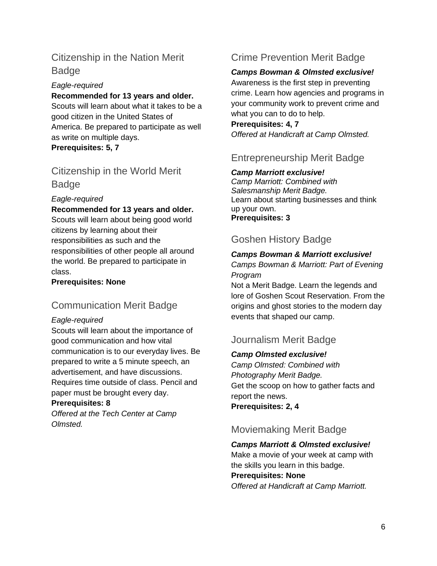# Citizenship in the Nation Merit **Badge**

#### *Eagle-required*

#### **Recommended for 13 years and older.**

Scouts will learn about what it takes to be a good citizen in the United States of America. Be prepared to participate as well as write on multiple days.

**Prerequisites: 5, 7**

# Citizenship in the World Merit Badge

#### *Eagle-required*

#### **Recommended for 13 years and older.**

Scouts will learn about being good world citizens by learning about their responsibilities as such and the responsibilities of other people all around the world. Be prepared to participate in class.

**Prerequisites: None**

# Communication Merit Badge

#### *Eagle-required*

Scouts will learn about the importance of good communication and how vital communication is to our everyday lives. Be prepared to write a 5 minute speech, an advertisement, and have discussions. Requires time outside of class. Pencil and paper must be brought every day.

#### **Prerequisites: 8**

*Offered at the Tech Center at Camp Olmsted.*

# Crime Prevention Merit Badge

#### *Camps Bowman & Olmsted exclusive!*

Awareness is the first step in preventing crime. Learn how agencies and programs in your community work to prevent crime and what you can to do to help.

#### **Prerequisites: 4, 7** *Offered at Handicraft at Camp Olmsted.*

# Entrepreneurship Merit Badge

#### *Camp Marriott exclusive!*

*Camp Marriott: Combined with Salesmanship Merit Badge.* Learn about starting businesses and think up your own. **Prerequisites: 3**

# Goshen History Badge

#### *Camps Bowman & Marriott exclusive! Camps Bowman & Marriott: Part of Evening*

*Program*

Not a Merit Badge. Learn the legends and lore of Goshen Scout Reservation. From the origins and ghost stories to the modern day events that shaped our camp.

# Journalism Merit Badge

#### *Camp Olmsted exclusive!*

*Camp Olmsted: Combined with Photography Merit Badge.* Get the scoop on how to gather facts and report the news.

**Prerequisites: 2, 4**

# Moviemaking Merit Badge

*Camps Marriott & Olmsted exclusive!*

Make a movie of your week at camp with the skills you learn in this badge.

#### **Prerequisites: None**

*Offered at Handicraft at Camp Marriott.*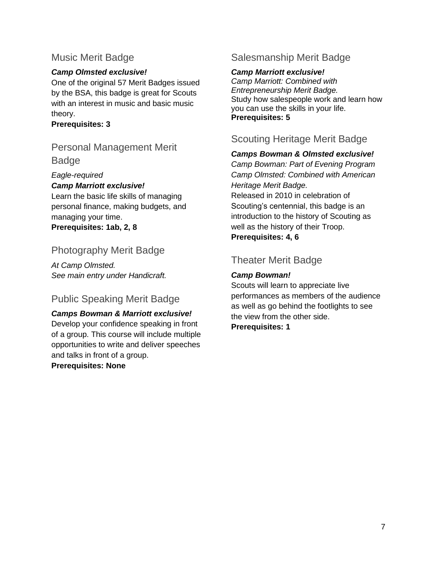# Music Merit Badge

### *Camp Olmsted exclusive!*

One of the original 57 Merit Badges issued by the BSA, this badge is great for Scouts with an interest in music and basic music theory.

#### **Prerequisites: 3**

# Personal Management Merit Badge

#### *Eagle-required*

#### *Camp Marriott exclusive!*

Learn the basic life skills of managing personal finance, making budgets, and managing your time.

**Prerequisites: 1ab, 2, 8**

# Photography Merit Badge

*At Camp Olmsted. See main entry under Handicraft.*

# Public Speaking Merit Badge

#### *Camps Bowman & Marriott exclusive!* Develop your confidence speaking in front of a group. This course will include multiple opportunities to write and deliver speeches and talks in front of a group. **Prerequisites: None**

# Salesmanship Merit Badge

#### *Camp Marriott exclusive!*

*Camp Marriott: Combined with Entrepreneurship Merit Badge.* Study how salespeople work and learn how you can use the skills in your life. **Prerequisites: 5**

# Scouting Heritage Merit Badge

#### *Camps Bowman & Olmsted exclusive!*

*Camp Bowman: Part of Evening Program Camp Olmsted: Combined with American Heritage Merit Badge.* Released in 2010 in celebration of Scouting's centennial, this badge is an introduction to the history of Scouting as well as the history of their Troop. **Prerequisites: 4, 6**

# Theater Merit Badge

## *Camp Bowman!*

Scouts will learn to appreciate live performances as members of the audience as well as go behind the footlights to see the view from the other side. **Prerequisites: 1**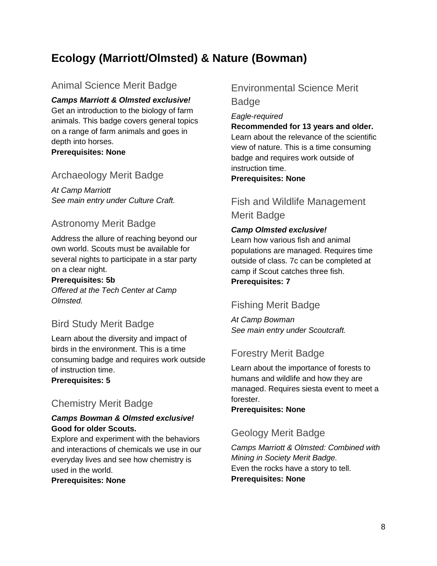# <span id="page-7-0"></span>**Ecology (Marriott/Olmsted) & Nature (Bowman)**

# Animal Science Merit Badge

*Camps Marriott & Olmsted exclusive!* Get an introduction to the biology of farm animals. This badge covers general topics on a range of farm animals and goes in depth into horses. **Prerequisites: None**

# Archaeology Merit Badge

*At Camp Marriott See main entry under Culture Craft.*

# Astronomy Merit Badge

Address the allure of reaching beyond our own world. Scouts must be available for several nights to participate in a star party on a clear night.

#### **Prerequisites: 5b**

*Offered at the Tech Center at Camp Olmsted.*

# Bird Study Merit Badge

Learn about the diversity and impact of birds in the environment. This is a time consuming badge and requires work outside of instruction time.

**Prerequisites: 5**

# Chemistry Merit Badge

#### *Camps Bowman & Olmsted exclusive!* **Good for older Scouts.**

Explore and experiment with the behaviors and interactions of chemicals we use in our everyday lives and see how chemistry is used in the world.

**Prerequisites: None**

# Environmental Science Merit Badge

*Eagle-required*

#### **Recommended for 13 years and older.**

Learn about the relevance of the scientific view of nature. This is a time consuming badge and requires work outside of instruction time.

#### **Prerequisites: None**

# Fish and Wildlife Management Merit Badge

#### *Camp Olmsted exclusive!*

Learn how various fish and animal populations are managed. Requires time outside of class. 7c can be completed at camp if Scout catches three fish. **Prerequisites: 7**

# Fishing Merit Badge

*At Camp Bowman See main entry under Scoutcraft.*

# Forestry Merit Badge

Learn about the importance of forests to humans and wildlife and how they are managed. Requires siesta event to meet a forester.

#### **Prerequisites: None**

# Geology Merit Badge

*Camps Marriott & Olmsted: Combined with Mining in Society Merit Badge.* Even the rocks have a story to tell. **Prerequisites: None**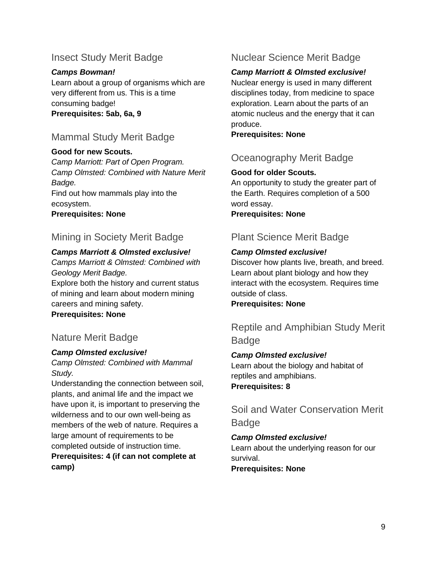# Insect Study Merit Badge

*Camps Bowman!* Learn about a group of organisms which are very different from us. This is a time consuming badge! **Prerequisites: 5ab, 6a, 9**

# Mammal Study Merit Badge

#### **Good for new Scouts.**

*Camp Marriott: Part of Open Program. Camp Olmsted: Combined with Nature Merit Badge.*

Find out how mammals play into the ecosystem.

**Prerequisites: None**

# Mining in Society Merit Badge

#### *Camps Marriott & Olmsted exclusive!*

*Camps Marriott & Olmsted: Combined with Geology Merit Badge.*

Explore both the history and current status of mining and learn about modern mining careers and mining safety.

**Prerequisites: None**

# Nature Merit Badge

#### *Camp Olmsted exclusive!*

#### *Camp Olmsted: Combined with Mammal Study.*

Understanding the connection between soil, plants, and animal life and the impact we have upon it, is important to preserving the wilderness and to our own well-being as members of the web of nature. Requires a large amount of requirements to be completed outside of instruction time. **Prerequisites: 4 (if can not complete at camp)**

# Nuclear Science Merit Badge

#### *Camp Marriott & Olmsted exclusive!*

Nuclear energy is used in many different disciplines today, from medicine to space exploration. Learn about the parts of an atomic nucleus and the energy that it can produce.

**Prerequisites: None**

# Oceanography Merit Badge

#### **Good for older Scouts.**

An opportunity to study the greater part of the Earth. Requires completion of a 500 word essay.

**Prerequisites: None**

# Plant Science Merit Badge

#### *Camp Olmsted exclusive!*

Discover how plants live, breath, and breed. Learn about plant biology and how they interact with the ecosystem. Requires time outside of class.

**Prerequisites: None**

Reptile and Amphibian Study Merit Badge

#### *Camp Olmsted exclusive!*

Learn about the biology and habitat of reptiles and amphibians. **Prerequisites: 8**

Soil and Water Conservation Merit Badge

#### *Camp Olmsted exclusive!*

Learn about the underlying reason for our survival.

**Prerequisites: None**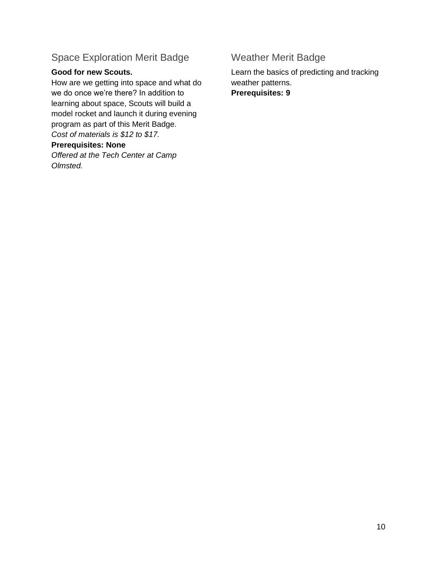# Space Exploration Merit Badge

#### **Good for new Scouts.**

How are we getting into space and what do we do once we're there? In addition to learning about space, Scouts will build a model rocket and launch it during evening program as part of this Merit Badge. *Cost of materials is \$12 to \$17.*

#### **Prerequisites: None**

*Offered at the Tech Center at Camp Olmsted.*

# Weather Merit Badge

Learn the basics of predicting and tracking weather patterns. **Prerequisites: 9**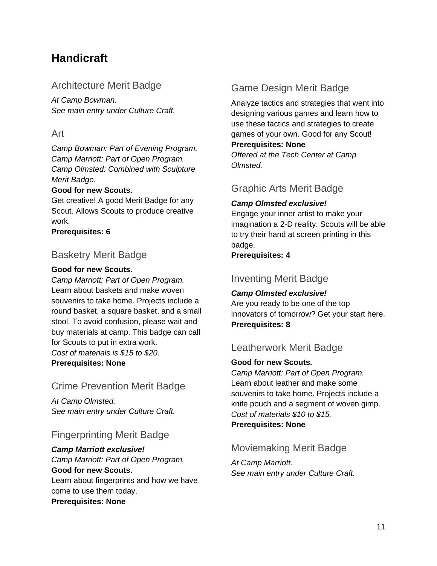# <span id="page-10-0"></span>**Handicraft**

# Architecture Merit Badge

*At Camp Bowman. See main entry under Culture Craft.*

# Art

*Camp Bowman: Part of Evening Program. Camp Marriott: Part of Open Program. Camp Olmsted: Combined with Sculpture Merit Badge.*

#### **Good for new Scouts.**

Get creative! A good Merit Badge for any Scout. Allows Scouts to produce creative work.

**Prerequisites: 6**

# Basketry Merit Badge

#### **Good for new Scouts.**

*Camp Marriott: Part of Open Program.* Learn about baskets and make woven souvenirs to take home. Projects include a round basket, a square basket, and a small stool. To avoid confusion, please wait and buy materials at camp. This badge can call for Scouts to put in extra work. *Cost of materials is \$15 to \$20.* **Prerequisites: None**

# Crime Prevention Merit Badge

*At Camp Olmsted. See main entry under Culture Craft.*

# Fingerprinting Merit Badge

*Camp Marriott exclusive! Camp Marriott: Part of Open Program.* **Good for new Scouts.** Learn about fingerprints and how we have come to use them today. **Prerequisites: None**

# Game Design Merit Badge

Analyze tactics and strategies that went into designing various games and learn how to use these tactics and strategies to create games of your own. Good for any Scout! **Prerequisites: None**

*Offered at the Tech Center at Camp Olmsted.*

# Graphic Arts Merit Badge

#### *Camp Olmsted exclusive!*

Engage your inner artist to make your imagination a 2-D reality. Scouts will be able to try their hand at screen printing in this badge.

**Prerequisites: 4**

# Inventing Merit Badge

#### *Camp Olmsted exclusive!* Are you ready to be one of the top innovators of tomorrow? Get your start here. **Prerequisites: 8**

# Leatherwork Merit Badge

#### **Good for new Scouts.**

*Camp Marriott: Part of Open Program.* Learn about leather and make some souvenirs to take home. Projects include a knife pouch and a segment of woven gimp. *Cost of materials \$10 to \$15.* **Prerequisites: None**

# Moviemaking Merit Badge

*At Camp Marriott. See main entry under Culture Craft.*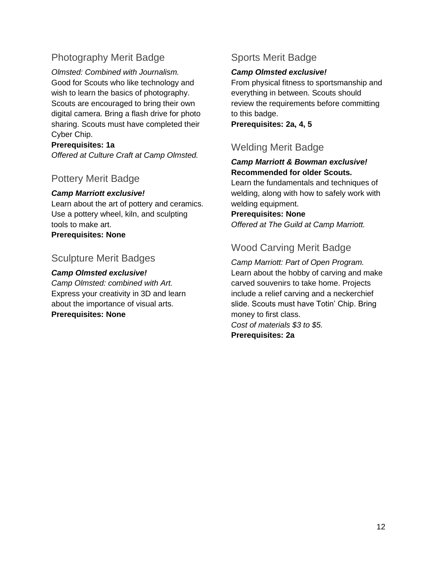# Photography Merit Badge

*Olmsted: Combined with Journalism.* Good for Scouts who like technology and wish to learn the basics of photography. Scouts are encouraged to bring their own digital camera. Bring a flash drive for photo sharing. Scouts must have completed their Cyber Chip.

#### **Prerequisites: 1a**

*Offered at Culture Craft at Camp Olmsted.*

## Pottery Merit Badge

#### *Camp Marriott exclusive!*

Learn about the art of pottery and ceramics. Use a pottery wheel, kiln, and sculpting tools to make art. **Prerequisites: None**

#### Sculpture Merit Badges

#### *Camp Olmsted exclusive!*

*Camp Olmsted: combined with Art.* Express your creativity in 3D and learn about the importance of visual arts. **Prerequisites: None**

# Sports Merit Badge

#### *Camp Olmsted exclusive!*

From physical fitness to sportsmanship and everything in between. Scouts should review the requirements before committing to this badge.

**Prerequisites: 2a, 4, 5**

# Welding Merit Badge

#### *Camp Marriott & Bowman exclusive!* **Recommended for older Scouts.**

Learn the fundamentals and techniques of welding, along with how to safely work with welding equipment.

**Prerequisites: None** *Offered at The Guild at Camp Marriott.*

# Wood Carving Merit Badge

*Camp Marriott: Part of Open Program.* Learn about the hobby of carving and make carved souvenirs to take home. Projects include a relief carving and a neckerchief slide. Scouts must have Totin' Chip. Bring money to first class. *Cost of materials \$3 to \$5.* **Prerequisites: 2a**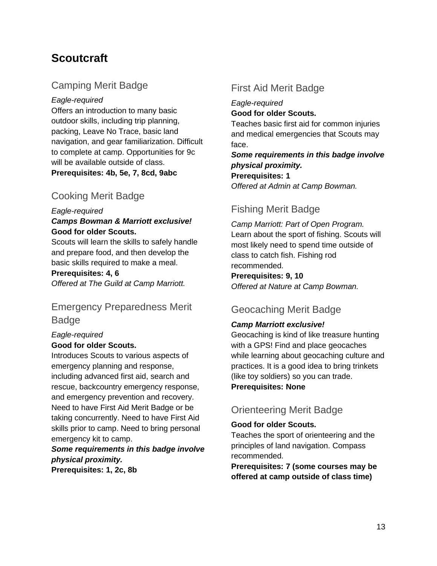# <span id="page-12-0"></span>**Scoutcraft**

# Camping Merit Badge

*Eagle-required*

Offers an introduction to many basic outdoor skills, including trip planning, packing, Leave No Trace, basic land navigation, and gear familiarization. Difficult to complete at camp. Opportunities for 9c will be available outside of class. **Prerequisites: 4b, 5e, 7, 8cd, 9abc**

# Cooking Merit Badge

#### *Eagle-required*

#### *Camps Bowman & Marriott exclusive!* **Good for older Scouts.**

Scouts will learn the skills to safely handle and prepare food, and then develop the basic skills required to make a meal.

#### **Prerequisites: 4, 6**

*Offered at The Guild at Camp Marriott.*

# Emergency Preparedness Merit Badge

#### *Eagle-required* **Good for older Scouts.**

Introduces Scouts to various aspects of emergency planning and response, including advanced first aid, search and rescue, backcountry emergency response, and emergency prevention and recovery. Need to have First Aid Merit Badge or be taking concurrently. Need to have First Aid skills prior to camp. Need to bring personal emergency kit to camp.

#### *Some requirements in this badge involve physical proximity.* **Prerequisites: 1, 2c, 8b**

# First Aid Merit Badge

*Eagle-required* **Good for older Scouts.** Teaches basic first aid for common injuries and medical emergencies that Scouts may face.

*Some requirements in this badge involve physical proximity.* **Prerequisites: 1** *Offered at Admin at Camp Bowman.*

# Fishing Merit Badge

*Camp Marriott: Part of Open Program.* Learn about the sport of fishing. Scouts will most likely need to spend time outside of class to catch fish. Fishing rod recommended.

**Prerequisites: 9, 10**

*Offered at Nature at Camp Bowman.*

# Geocaching Merit Badge

## *Camp Marriott exclusive!*

Geocaching is kind of like treasure hunting with a GPS! Find and place geocaches while learning about geocaching culture and practices. It is a good idea to bring trinkets (like toy soldiers) so you can trade. **Prerequisites: None**

# Orienteering Merit Badge

#### **Good for older Scouts.**

Teaches the sport of orienteering and the principles of land navigation. Compass recommended.

**Prerequisites: 7 (some courses may be offered at camp outside of class time)**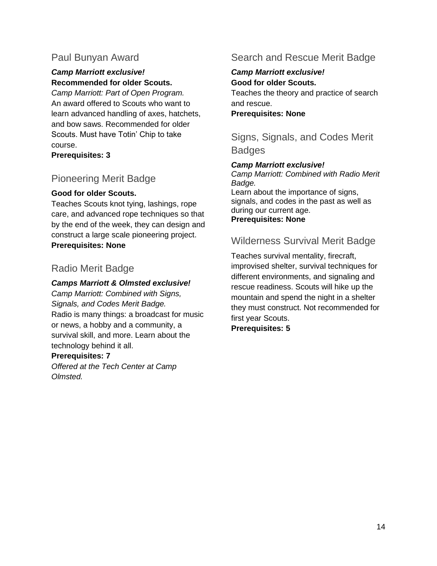# Paul Bunyan Award

#### *Camp Marriott exclusive!* **Recommended for older Scouts.**

*Camp Marriott: Part of Open Program.* An award offered to Scouts who want to learn advanced handling of axes, hatchets, and bow saws. Recommended for older Scouts. Must have Totin' Chip to take course.

**Prerequisites: 3**

# Pioneering Merit Badge

#### **Good for older Scouts.**

Teaches Scouts knot tying, lashings, rope care, and advanced rope techniques so that by the end of the week, they can design and construct a large scale pioneering project. **Prerequisites: None**

# Radio Merit Badge

#### *Camps Marriott & Olmsted exclusive!*

*Camp Marriott: Combined with Signs, Signals, and Codes Merit Badge.* Radio is many things: a broadcast for music or news, a hobby and a community, a survival skill, and more. Learn about the technology behind it all.

#### **Prerequisites: 7**

<span id="page-13-0"></span>*Offered at the Tech Center at Camp Olmsted.*

# Search and Rescue Merit Badge

#### *Camp Marriott exclusive!* **Good for older Scouts.**

Teaches the theory and practice of search and rescue.

**Prerequisites: None**

Signs, Signals, and Codes Merit **Badges** 

#### *Camp Marriott exclusive!*

*Camp Marriott: Combined with Radio Merit Badge.* Learn about the importance of signs, signals, and codes in the past as well as during our current age. **Prerequisites: None**

# Wilderness Survival Merit Badge

Teaches survival mentality, firecraft, improvised shelter, survival techniques for different environments, and signaling and rescue readiness. Scouts will hike up the mountain and spend the night in a shelter they must construct. Not recommended for first year Scouts. **Prerequisites: 5**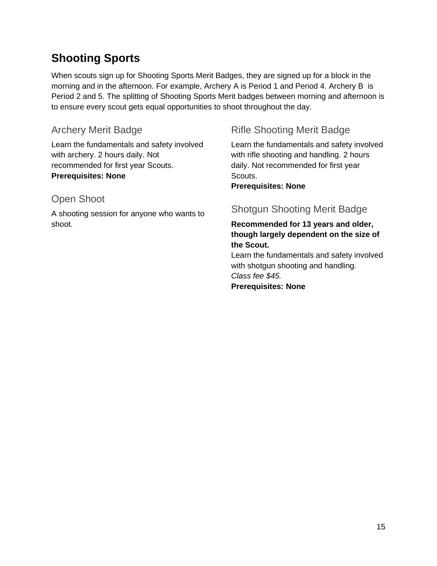# **Shooting Sports**

When scouts sign up for Shooting Sports Merit Badges, they are signed up for a block in the morning and in the afternoon. For example, Archery A is Period 1 and Period 4. Archery B is Period 2 and 5. The splitting of Shooting Sports Merit badges between morning and afternoon is to ensure every scout gets equal opportunities to shoot throughout the day.

# Archery Merit Badge

Learn the fundamentals and safety involved with archery. 2 hours daily. Not recommended for first year Scouts. **Prerequisites: None**

# Open Shoot

A shooting session for anyone who wants to shoot.

# Rifle Shooting Merit Badge

Learn the fundamentals and safety involved with rifle shooting and handling. 2 hours daily. Not recommended for first year Scouts.

**Prerequisites: None**

# Shotgun Shooting Merit Badge

#### **Recommended for 13 years and older, though largely dependent on the size of the Scout.**

Learn the fundamentals and safety involved with shotgun shooting and handling. *Class fee \$45.* **Prerequisites: None**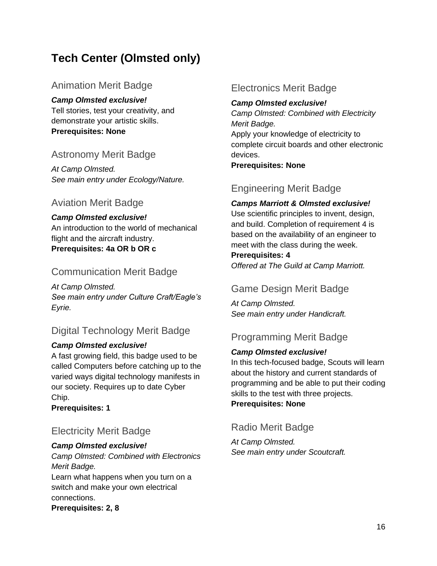# <span id="page-15-0"></span>**Tech Center (Olmsted only)**

# Animation Merit Badge

#### *Camp Olmsted exclusive!*

Tell stories, test your creativity, and demonstrate your artistic skills. **Prerequisites: None**

# Astronomy Merit Badge

*At Camp Olmsted. See main entry under Ecology/Nature.*

# Aviation Merit Badge

*Camp Olmsted exclusive!* An introduction to the world of mechanical flight and the aircraft industry. **Prerequisites: 4a OR b OR c**

# Communication Merit Badge

*At Camp Olmsted. See main entry under Culture Craft/Eagle's Eyrie.*

# Digital Technology Merit Badge

#### *Camp Olmsted exclusive!*

A fast growing field, this badge used to be called Computers before catching up to the varied ways digital technology manifests in our society. Requires up to date Cyber Chip.

**Prerequisites: 1**

# Electricity Merit Badge

#### *Camp Olmsted exclusive!*

*Camp Olmsted: Combined with Electronics Merit Badge.*

Learn what happens when you turn on a switch and make your own electrical connections.

**Prerequisites: 2, 8**

# Electronics Merit Badge

#### *Camp Olmsted exclusive!*

*Camp Olmsted: Combined with Electricity Merit Badge.*

Apply your knowledge of electricity to complete circuit boards and other electronic devices.

**Prerequisites: None**

# Engineering Merit Badge

#### *Camps Marriott & Olmsted exclusive!*

Use scientific principles to invent, design, and build. Completion of requirement 4 is based on the availability of an engineer to meet with the class during the week.

#### **Prerequisites: 4**

*Offered at The Guild at Camp Marriott.*

# Game Design Merit Badge

*At Camp Olmsted. See main entry under Handicraft.*

# Programming Merit Badge

#### *Camp Olmsted exclusive!*

In this tech-focused badge, Scouts will learn about the history and current standards of programming and be able to put their coding skills to the test with three projects.

**Prerequisites: None**

# Radio Merit Badge

*At Camp Olmsted. See main entry under Scoutcraft.*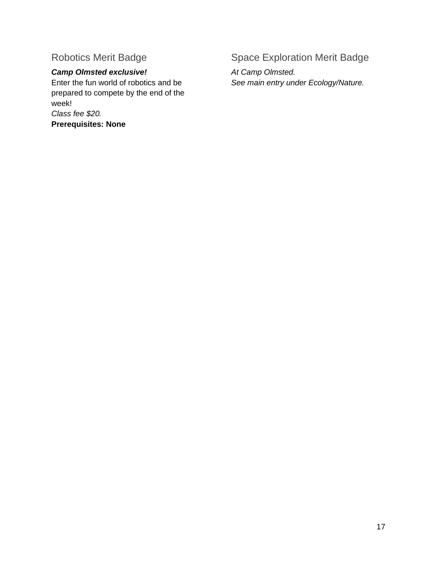# Robotics Merit Badge

# *Camp Olmsted exclusive!*

<span id="page-16-0"></span>Enter the fun world of robotics and be prepared to compete by the end of the week! *Class fee \$20.* **Prerequisites: None**

# Space Exploration Merit Badge

*At Camp Olmsted. See main entry under Ecology/Nature.*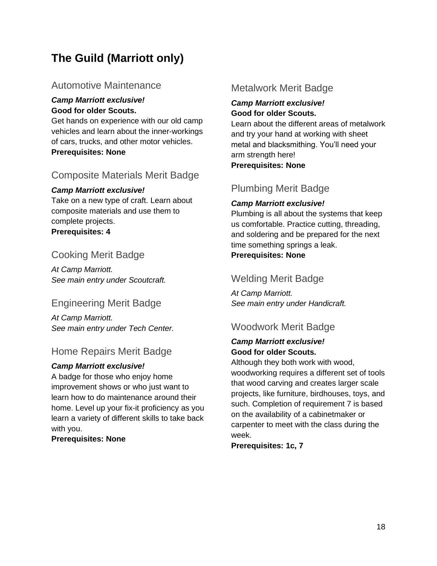# **The Guild (Marriott only)**

## Automotive Maintenance

#### *Camp Marriott exclusive!* **Good for older Scouts.**

Get hands on experience with our old camp vehicles and learn about the inner-workings of cars, trucks, and other motor vehicles. **Prerequisites: None**

# Composite Materials Merit Badge

#### *Camp Marriott exclusive!*

Take on a new type of craft. Learn about composite materials and use them to complete projects. **Prerequisites: 4**

# Cooking Merit Badge

*At Camp Marriott. See main entry under Scoutcraft.*

# Engineering Merit Badge

*At Camp Marriott. See main entry under Tech Center.*

## Home Repairs Merit Badge

#### *Camp Marriott exclusive!*

A badge for those who enjoy home improvement shows or who just want to learn how to do maintenance around their home. Level up your fix-it proficiency as you learn a variety of different skills to take back with you.

#### **Prerequisites: None**

## Metalwork Merit Badge

#### *Camp Marriott exclusive!* **Good for older Scouts.**

Learn about the different areas of metalwork and try your hand at working with sheet metal and blacksmithing. You'll need your arm strength here! **Prerequisites: None**

# Plumbing Merit Badge

#### *Camp Marriott exclusive!*

Plumbing is all about the systems that keep us comfortable. Practice cutting, threading, and soldering and be prepared for the next time something springs a leak. **Prerequisites: None**

# Welding Merit Badge

*At Camp Marriott. See main entry under Handicraft.*

# Woodwork Merit Badge

#### *Camp Marriott exclusive!* **Good for older Scouts.**

Although they both work with wood,

woodworking requires a different set of tools that wood carving and creates larger scale projects, like furniture, birdhouses, toys, and such. Completion of requirement 7 is based on the availability of a cabinetmaker or carpenter to meet with the class during the week.

**Prerequisites: 1c, 7**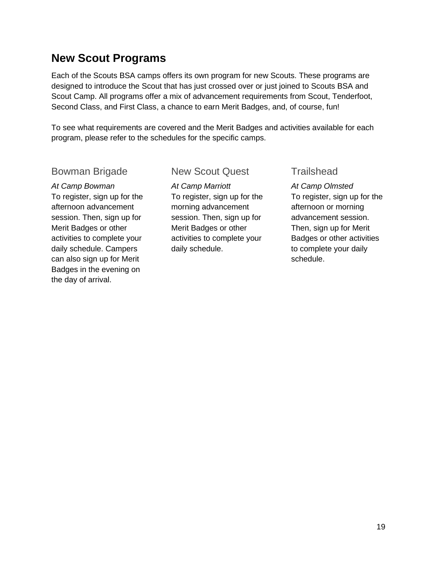# <span id="page-18-0"></span>**New Scout Programs**

Each of the Scouts BSA camps offers its own program for new Scouts. These programs are designed to introduce the Scout that has just crossed over or just joined to Scouts BSA and Scout Camp. All programs offer a mix of advancement requirements from Scout, Tenderfoot, Second Class, and First Class, a chance to earn Merit Badges, and, of course, fun!

To see what requirements are covered and the Merit Badges and activities available for each program, please refer to the schedules for the specific camps.

#### Bowman Brigade

*At Camp Bowman* To register, sign up for the afternoon advancement session. Then, sign up for Merit Badges or other activities to complete your daily schedule. Campers can also sign up for Merit Badges in the evening on the day of arrival.

## New Scout Quest

*At Camp Marriott* To register, sign up for the morning advancement session. Then, sign up for Merit Badges or other activities to complete your daily schedule.

**Trailshead** 

*At Camp Olmsted* To register, sign up for the afternoon or morning advancement session. Then, sign up for Merit Badges or other activities to complete your daily schedule.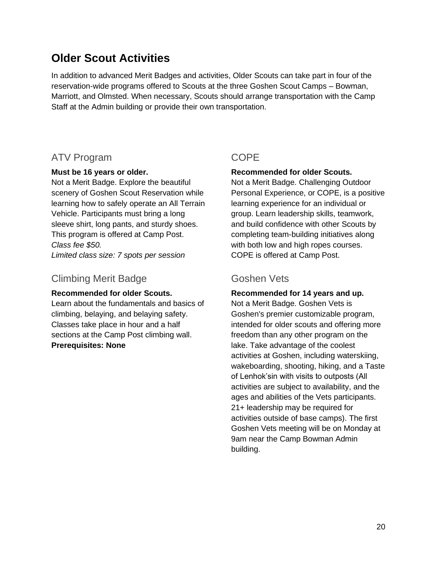# <span id="page-19-0"></span>**Older Scout Activities**

In addition to advanced Merit Badges and activities, Older Scouts can take part in four of the reservation-wide programs offered to Scouts at the three Goshen Scout Camps – Bowman, Marriott, and Olmsted. When necessary, Scouts should arrange transportation with the Camp Staff at the Admin building or provide their own transportation.

## ATV Program

#### **Must be 16 years or older.**

Not a Merit Badge. Explore the beautiful scenery of Goshen Scout Reservation while learning how to safely operate an All Terrain Vehicle. Participants must bring a long sleeve shirt, long pants, and sturdy shoes. This program is offered at Camp Post. *Class fee \$50. Limited class size: 7 spots per session*

Climbing Merit Badge

#### **Recommended for older Scouts.**

Learn about the fundamentals and basics of climbing, belaying, and belaying safety. Classes take place in hour and a half sections at the Camp Post climbing wall. **Prerequisites: None**

# **COPE**

#### **Recommended for older Scouts.**

Not a Merit Badge. Challenging Outdoor Personal Experience, or COPE, is a positive learning experience for an individual or group. Learn leadership skills, teamwork, and build confidence with other Scouts by completing team-building initiatives along with both low and high ropes courses. COPE is offered at Camp Post.

## Goshen Vets

**Recommended for 14 years and up.** Not a Merit Badge. Goshen Vets is Goshen's premier customizable program, intended for older scouts and offering more freedom than any other program on the lake. Take advantage of the coolest activities at Goshen, including waterskiing, wakeboarding, shooting, hiking, and a Taste of Lenhok'sin with visits to outposts (All activities are subject to availability, and the ages and abilities of the Vets participants. 21+ leadership may be required for activities outside of base camps). The first Goshen Vets meeting will be on Monday at 9am near the Camp Bowman Admin building.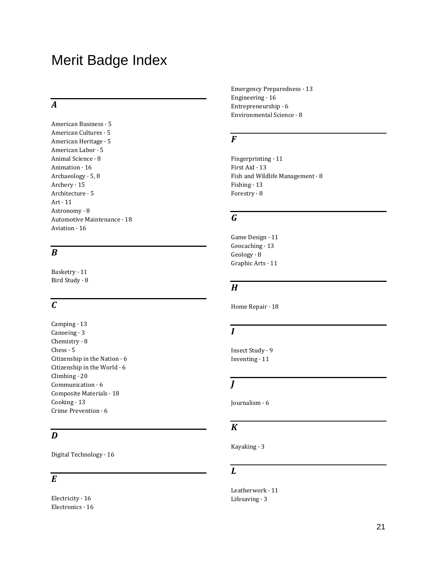# <span id="page-20-0"></span>Merit Badge Index

## *A*

American Business · 5 American Cultures · 5 American Heritage · 5 American Labor · 5 Animal Science · 8 Animation · 16 Archaeology · 5, 8 Archery · 15 Architecture · 5  $Art·11$ Astronomy · 8 Automotive Maintenance · 18 Aviation · 16

## *B*

Basketry · 11 Bird Study · 8

# *C*

Camping · 13 Canoeing · 3 Chemistry · 8 Chess · 5 Citizenship in the Nation  $\cdot$  6 Citizenship in the World · 6 Climbing · 20 Communication · 6 Composite Materials · 18  $Cooking \cdot 13$ Crime Prevention · 6

## *D*

Digital Technology · 16

#### *E*

Electricity · 16 Electronics · 16 Emergency Preparedness · 13 Engineering  $\cdot$  16 Entrepreneurship · 6 Environmental Science · 8

#### *F*

Fingerprinting · 11 First Aid · 13 Fish and Wildlife Management · 8 Fishing · 13 Forestry · 8

# *G*

Game Design · 11 Geocaching · 13 Geology · 8 Graphic Arts · 11

#### *H*

Home Repair · 18

# *I*

Insect Study · 9 Inventing · 11

## *J*

Journalism · 6

#### *K*

Kayaking · 3

#### *L*

Leatherwork · 11 Lifesaving · 3